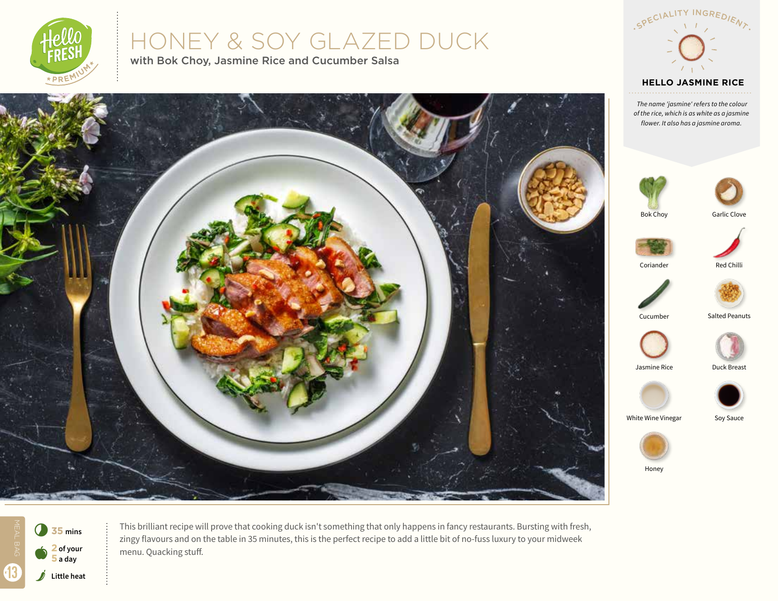

# HONEY & SOY GLAZED DUCK

with Bok Choy, Jasmine Rice and Cucumber Salsa



 *The name 'jasmine' refers to the colour of the rice, which is as white as a jasmine flower. It also has a jasmine aroma.*





Jasmine Rice

Honey



This brilliant recipe will prove that cooking duck isn't something that only happens in fancy restaurants. Bursting with fresh, zingy flavours and on the table in 35 minutes, this is the perfect recipe to add a little bit of no-fuss luxury to your midweek menu. Quacking stuff.